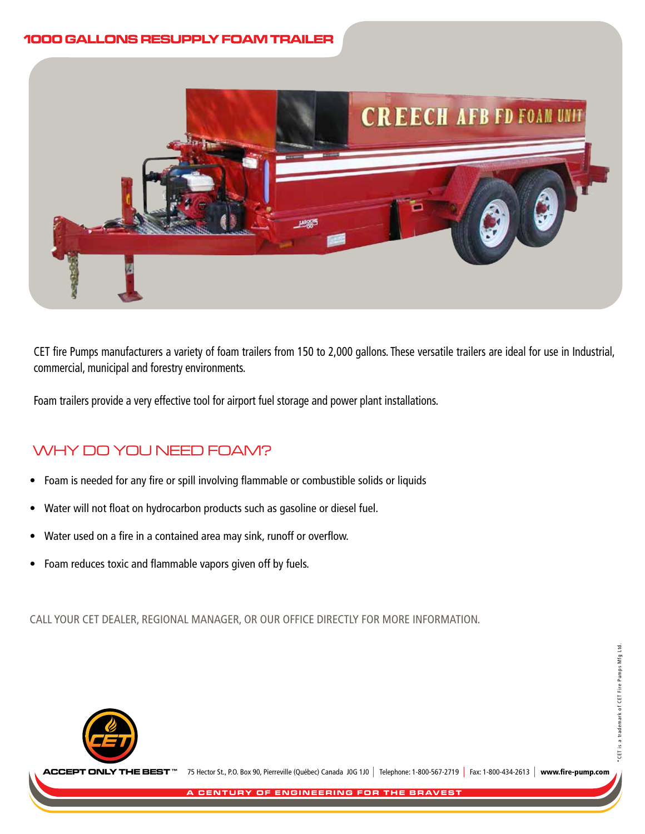# **1000 GALLONS RESUPPLY FOAM TRAILER 1000 GALLONS RESUPPLY FOAM TRAILER**



CET fire Pumps manufacturers a variety of foam trailers from 150 to 2,000 gallons. These versatile trailers are ideal for use in Industrial, commercial, municipal and forestry environments.

Foam trailers provide a very effective tool for airport fuel storage and power plant installations.

# WHY DO YOU NEED FOAM?

- Foam is needed for any fire or spill involving flammable or combustible solids or liquids
- Water will not float on hydrocarbon products such as gasoline or diesel fuel.
- Water used on a fire in a contained area may sink, runoff or overflow.
- Foam reduces toxic and flammable vapors given off by fuels.

CALL YOUR CET DEALER, REGIONAL MANAGER, OR OUR OFFICE DIRECTLY FOR MORE INFORMATION.



75 Hector St., P.O. Box 90, Pierreville (Québec) Canada J0G 1J0 | Telephone: 1-800-567-2719 | Fax: 1-800-434-2613 | www.fire-pump.com **'HE BEST**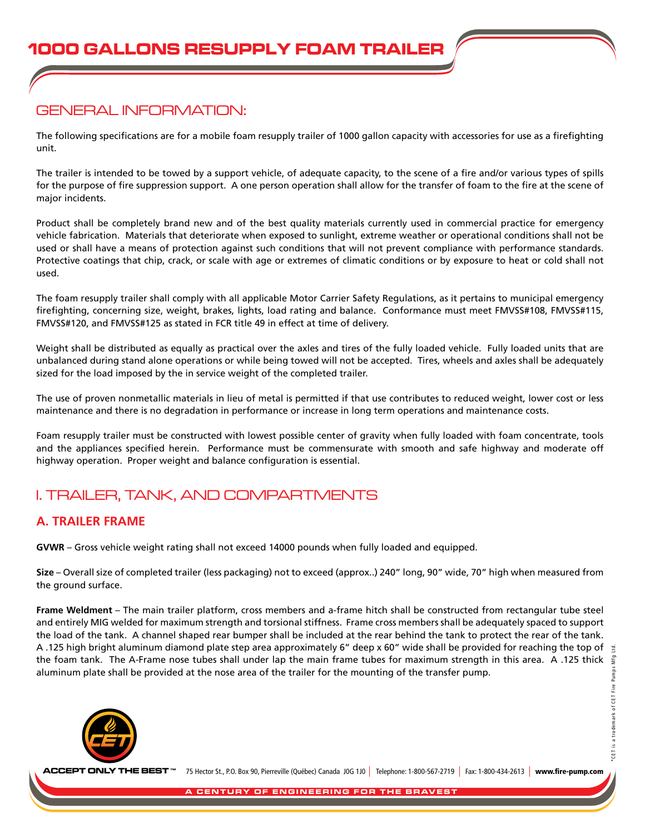# GENERAL INFORMATION:

The following specifications are for a mobile foam resupply trailer of 1000 gallon capacity with accessories for use as a firefighting unit.

The trailer is intended to be towed by a support vehicle, of adequate capacity, to the scene of a fire and/or various types of spills for the purpose of fire suppression support. A one person operation shall allow for the transfer of foam to the fire at the scene of major incidents.

Product shall be completely brand new and of the best quality materials currently used in commercial practice for emergency vehicle fabrication. Materials that deteriorate when exposed to sunlight, extreme weather or operational conditions shall not be used or shall have a means of protection against such conditions that will not prevent compliance with performance standards. Protective coatings that chip, crack, or scale with age or extremes of climatic conditions or by exposure to heat or cold shall not used.

The foam resupply trailer shall comply with all applicable Motor Carrier Safety Regulations, as it pertains to municipal emergency firefighting, concerning size, weight, brakes, lights, load rating and balance. Conformance must meet FMVSS#108, FMVSS#115, FMVSS#120, and FMVSS#125 as stated in FCR title 49 in effect at time of delivery.

Weight shall be distributed as equally as practical over the axles and tires of the fully loaded vehicle. Fully loaded units that are unbalanced during stand alone operations or while being towed will not be accepted. Tires, wheels and axles shall be adequately sized for the load imposed by the in service weight of the completed trailer.

The use of proven nonmetallic materials in lieu of metal is permitted if that use contributes to reduced weight, lower cost or less maintenance and there is no degradation in performance or increase in long term operations and maintenance costs.

Foam resupply trailer must be constructed with lowest possible center of gravity when fully loaded with foam concentrate, tools and the appliances specified herein. Performance must be commensurate with smooth and safe highway and moderate off highway operation. Proper weight and balance configuration is essential.

# I. TRAILER, TANK, AND COMPARTMENTS

## **A. TRAILER FRAME**

**GVWR** – Gross vehicle weight rating shall not exceed 14000 pounds when fully loaded and equipped.

**Size** – Overall size of completed trailer (less packaging) not to exceed (approx..) 240" long, 90" wide, 70" high when measured from the ground surface.

**Frame Weldment** – The main trailer platform, cross members and a-frame hitch shall be constructed from rectangular tube steel and entirely MIG welded for maximum strength and torsional stiffness. Frame cross members shall be adequately spaced to support the load of the tank. A channel shaped rear bumper shall be included at the rear behind the tank to protect the rear of the tank. A .125 high bright aluminum diamond plate step area approximately 6" deep x 60" wide shall be provided for reaching the top of  $\frac{1}{2}$ the foam tank. The A-Frame nose tubes shall under lap the main frame tubes for maximum strength in this area. A .125 thick aluminum plate shall be provided at the nose area of the trailer for the mounting of the transfer pump.



75 Hector St., P.O. Box 90, Pierreville (Québec) Canada J0G 1J0 | Telephone: 1-800-567-2719 | Fax: 1-800-434-2613 | www.fire-pump.com **ACCEPT ONLY THE BEST**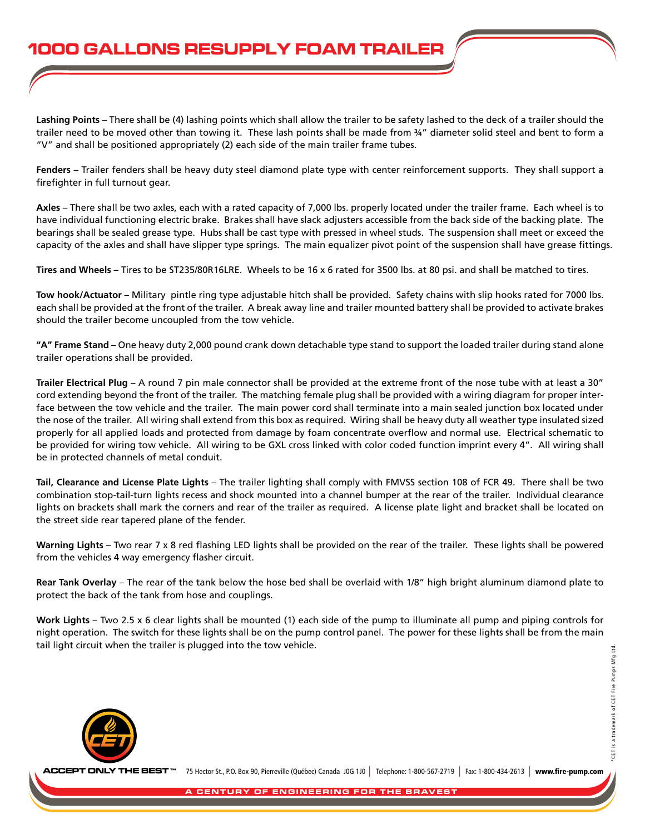**Lashing Points** – There shall be (4) lashing points which shall allow the trailer to be safety lashed to the deck of a trailer should the trailer need to be moved other than towing it. These lash points shall be made from ¾" diameter solid steel and bent to form a "V" and shall be positioned appropriately (2) each side of the main trailer frame tubes.

**Fenders** – Trailer fenders shall be heavy duty steel diamond plate type with center reinforcement supports. They shall support a firefighter in full turnout gear.

**Axles** – There shall be two axles, each with a rated capacity of 7,000 lbs. properly located under the trailer frame. Each wheel is to have individual functioning electric brake. Brakes shall have slack adjusters accessible from the back side of the backing plate. The bearings shall be sealed grease type. Hubs shall be cast type with pressed in wheel studs. The suspension shall meet or exceed the capacity of the axles and shall have slipper type springs. The main equalizer pivot point of the suspension shall have grease fittings.

**Tires and Wheels** – Tires to be ST235/80R16LRE. Wheels to be 16 x 6 rated for 3500 lbs. at 80 psi. and shall be matched to tires.

**Tow hook/Actuator** – Military pintle ring type adjustable hitch shall be provided. Safety chains with slip hooks rated for 7000 lbs. each shall be provided at the front of the trailer. A break away line and trailer mounted battery shall be provided to activate brakes should the trailer become uncoupled from the tow vehicle.

**"A" Frame Stand** – One heavy duty 2,000 pound crank down detachable type stand to support the loaded trailer during stand alone trailer operations shall be provided.

**Trailer Electrical Plug** – A round 7 pin male connector shall be provided at the extreme front of the nose tube with at least a 30" cord extending beyond the front of the trailer. The matching female plug shall be provided with a wiring diagram for proper interface between the tow vehicle and the trailer. The main power cord shall terminate into a main sealed junction box located under the nose of the trailer. All wiring shall extend from this box as required. Wiring shall be heavy duty all weather type insulated sized properly for all applied loads and protected from damage by foam concentrate overflow and normal use. Electrical schematic to be provided for wiring tow vehicle. All wiring to be GXL cross linked with color coded function imprint every 4". All wiring shall be in protected channels of metal conduit.

**Tail, Clearance and License Plate Lights** – The trailer lighting shall comply with FMVSS section 108 of FCR 49. There shall be two combination stop-tail-turn lights recess and shock mounted into a channel bumper at the rear of the trailer. Individual clearance lights on brackets shall mark the corners and rear of the trailer as required. A license plate light and bracket shall be located on the street side rear tapered plane of the fender.

**Warning Lights** – Two rear 7 x 8 red flashing LED lights shall be provided on the rear of the trailer. These lights shall be powered from the vehicles 4 way emergency flasher circuit.

**Rear Tank Overlay** – The rear of the tank below the hose bed shall be overlaid with 1/8" high bright aluminum diamond plate to protect the back of the tank from hose and couplings.

**Work Lights** – Two 2.5 x 6 clear lights shall be mounted (1) each side of the pump to illuminate all pump and piping controls for night operation. The switch for these lights shall be on the pump control panel. The power for these lights shall be from the main tail light circuit when the trailer is plugged into the tow vehicle.



75 Hector St., P.O. Box 90, Pierreville (Québec) Canada J0G 1J0 | Telephone: 1-800-567-2719 | Fax: 1-800-434-2613 | www.fire-pump.com **ACCEPT ONLY THE BEST**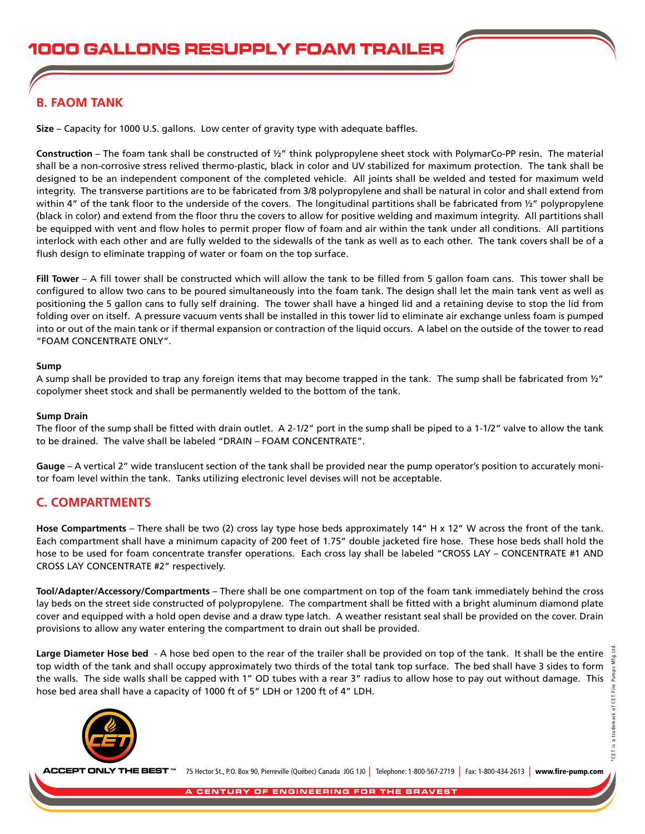## **B. FAOM TANK**

**Size** – Capacity for 1000 U.S. gallons. Low center of gravity type with adequate baffles.

**Construction** – The foam tank shall be constructed of ½" think polypropylene sheet stock with PolymarCo-PP resin. The material shall be a non-corrosive stress relived thermo-plastic, black in color and UV stabilized for maximum protection. The tank shall be designed to be an independent component of the completed vehicle. All joints shall be welded and tested for maximum weld integrity. The transverse partitions are to be fabricated from 3/8 polypropylene and shall be natural in color and shall extend from within 4" of the tank floor to the underside of the covers. The longitudinal partitions shall be fabricated from  $\frac{1}{2}$ " polypropylene (black in color) and extend from the floor thru the covers to allow for positive welding and maximum integrity. All partitions shall be equipped with vent and flow holes to permit proper flow of foam and air within the tank under all conditions. All partitions interlock with each other and are fully welded to the sidewalls of the tank as well as to each other. The tank covers shall be of a flush design to eliminate trapping of water or foam on the top surface.

**Fill Tower** – A fill tower shall be constructed which will allow the tank to be filled from 5 gallon foam cans. This tower shall be configured to allow two cans to be poured simultaneously into the foam tank. The design shall let the main tank vent as well as positioning the 5 gallon cans to fully self draining. The tower shall have a hinged lid and a retaining devise to stop the lid from folding over on itself. A pressure vacuum vents shall be installed in this tower lid to eliminate air exchange unless foam is pumped into or out of the main tank or if thermal expansion or contraction of the liquid occurs. A label on the outside of the tower to read "FOAM CONCENTRATE ONLY".

#### **Sump**

A sump shall be provided to trap any foreign items that may become trapped in the tank. The sump shall be fabricated from  $\frac{1}{2}$ " copolymer sheet stock and shall be permanently welded to the bottom of the tank.

#### **Sump Drain**

The floor of the sump shall be fitted with drain outlet. A 2-1/2" port in the sump shall be piped to a 1-1/2" valve to allow the tank to be drained. The valve shall be labeled "DRAIN – FOAM CONCENTRATE".

**Gauge** – A vertical 2" wide translucent section of the tank shall be provided near the pump operator's position to accurately monitor foam level within the tank. Tanks utilizing electronic level devises will not be acceptable.

### **C. COMPARTMENTS**

**Hose Compartments** – There shall be two (2) cross lay type hose beds approximately 14" H x 12" W across the front of the tank. Each compartment shall have a minimum capacity of 200 feet of 1.75" double jacketed fire hose. These hose beds shall hold the hose to be used for foam concentrate transfer operations. Each cross lay shall be labeled "CROSS LAY – CONCENTRATE #1 AND CROSS LAY CONCENTRATE #2" respectively.

**Tool/Adapter/Accessory/Compartments** – There shall be one compartment on top of the foam tank immediately behind the cross lay beds on the street side constructed of polypropylene. The compartment shall be fitted with a bright aluminum diamond plate cover and equipped with a hold open devise and a draw type latch. A weather resistant seal shall be provided on the cover. Drain provisions to allow any water entering the compartment to drain out shall be provided.

**Large Diameter Hose bed** - A hose bed open to the rear of the trailer shall be provided on top of the tank. It shall be the entire top width of the tank and shall occupy approximately two thirds of the total tank top surface. The bed shall have 3 sides to form the walls. The side walls shall be capped with 1" OD tubes with a rear 3" radius to allow hose to pay out without damage. This hose bed area shall have a capacity of 1000 ft of 5" LDH or 1200 ft of 4" LDH.



75 Hector St., P.O. Box 90, Pierreville (Québec) Canada J0G 1J0 | Telephone: 1-800-567-2719 | Fax: 1-800-434-2613 | www.fire-pump.com **ACCEPT ONLY THE BEST**

\*CET is a trademark of CET Fire Pumps Mfg Ltd.

is a trademark of CET Fire Pump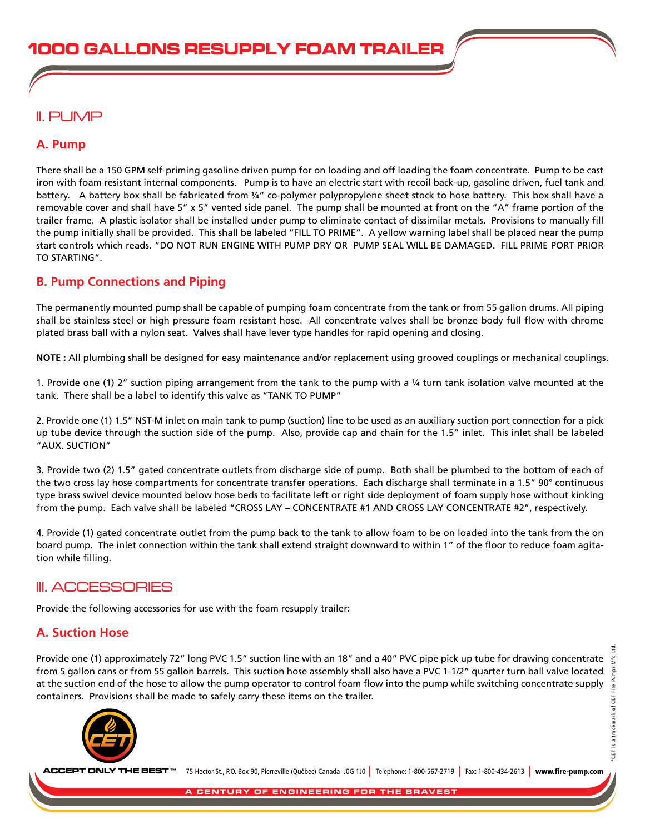# II. PUMP

## **A. Pump**

There shall be a 150 GPM self-priming gasoline driven pump for on loading and off loading the foam concentrate. Pump to be cast iron with foam resistant internal components. Pump is to have an electric start with recoil back-up, gasoline driven, fuel tank and battery. A battery box shall be fabricated from ¼" co-polymer polypropylene sheet stock to hose battery. This box shall have a removable cover and shall have 5" x 5" vented side panel. The pump shall be mounted at front on the "A" frame portion of the trailer frame. A plastic isolator shall be installed under pump to eliminate contact of dissimilar metals. Provisions to manually fill the pump initially shall be provided. This shall be labeled "FILL TO PRIME". A yellow warning label shall be placed near the pump start controls which reads. "DO NOT RUN ENGINE WITH PUMP DRY OR PUMP SEAL WILL BE DAMAGED. FILL PRIME PORT PRIOR TO STARTING".

## **B. Pump Connections and Piping**

The permanently mounted pump shall be capable of pumping foam concentrate from the tank or from 55 gallon drums. All piping shall be stainless steel or high pressure foam resistant hose. All concentrate valves shall be bronze body full flow with chrome plated brass ball with a nylon seat. Valves shall have lever type handles for rapid opening and closing.

**NOTE :** All plumbing shall be designed for easy maintenance and/or replacement using grooved couplings or mechanical couplings.

1. Provide one (1) 2" suction piping arrangement from the tank to the pump with a ¼ turn tank isolation valve mounted at the tank. There shall be a label to identify this valve as "TANK TO PUMP"

2. Provide one (1) 1.5" NST-M inlet on main tank to pump (suction) line to be used as an auxiliary suction port connection for a pick up tube device through the suction side of the pump. Also, provide cap and chain for the 1.5" inlet. This inlet shall be labeled "AUX. SUCTION"

3. Provide two (2) 1.5" gated concentrate outlets from discharge side of pump. Both shall be plumbed to the bottom of each of the two cross lay hose compartments for concentrate transfer operations. Each discharge shall terminate in a 1.5" 90° continuous type brass swivel device mounted below hose beds to facilitate left or right side deployment of foam supply hose without kinking from the pump. Each valve shall be labeled "CROSS LAY – CONCENTRATE #1 AND CROSS LAY CONCENTRATE #2", respectively.

4. Provide (1) gated concentrate outlet from the pump back to the tank to allow foam to be on loaded into the tank from the on board pump. The inlet connection within the tank shall extend straight downward to within 1" of the floor to reduce foam agitation while filling.

## III. ACCESSORIES

Provide the following accessories for use with the foam resupply trailer:

## **A. Suction Hose**

Provide one (1) approximately 72" long PVC 1.5" suction line with an 18" and a 40" PVC pipe pick up tube for drawing concentrate  $\frac{3}{2}$ from 5 gallon cans or from 55 gallon barrels. This suction hose assembly shall also have a PVC 1-1/2" quarter turn ball valve located at the suction end of the hose to allow the pump operator to control foam flow into the pump while switching concentrate supply containers. Provisions shall be made to safely carry these items on the trailer.



75 Hector St., P.O. Box 90, Pierreville (Québec) Canada J0G 1J0 | Telephone: 1-800-567-2719 | Fax: 1-800-434-2613 | www.fire-pump.com **ACCEPT ONLY THE BEST**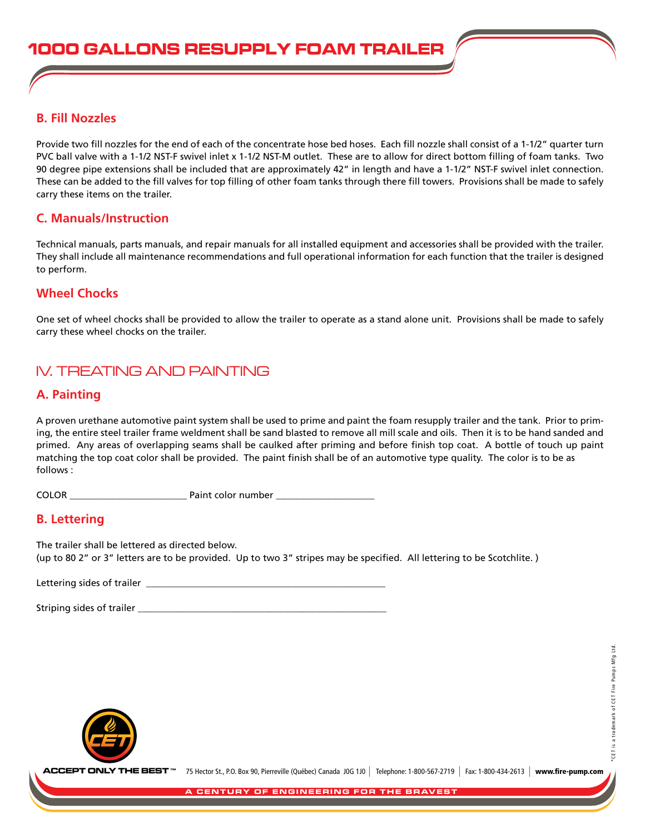#### **B. Fill Nozzles**

Provide two fill nozzles for the end of each of the concentrate hose bed hoses. Each fill nozzle shall consist of a 1-1/2" quarter turn PVC ball valve with a 1-1/2 NST-F swivel inlet x 1-1/2 NST-M outlet. These are to allow for direct bottom filling of foam tanks. Two 90 degree pipe extensions shall be included that are approximately 42" in length and have a 1-1/2" NST-F swivel inlet connection. These can be added to the fill valves for top filling of other foam tanks through there fill towers. Provisions shall be made to safely carry these items on the trailer.

### **C. Manuals/Instruction**

Technical manuals, parts manuals, and repair manuals for all installed equipment and accessories shall be provided with the trailer. They shall include all maintenance recommendations and full operational information for each function that the trailer is designed to perform.

### **Wheel Chocks**

One set of wheel chocks shall be provided to allow the trailer to operate as a stand alone unit. Provisions shall be made to safely carry these wheel chocks on the trailer.

# IV. TREATING AND PAINTING

#### **A. Painting**

A proven urethane automotive paint system shall be used to prime and paint the foam resupply trailer and the tank. Prior to priming, the entire steel trailer frame weldment shall be sand blasted to remove all mill scale and oils. Then it is to be hand sanded and primed. Any areas of overlapping seams shall be caulked after priming and before finish top coat. A bottle of touch up paint matching the top coat color shall be provided. The paint finish shall be of an automotive type quality. The color is to be as follows :

COLOR example a set of the paint color number  $\frac{1}{\sqrt{2}}$ 

### **B. Lettering**

The trailer shall be lettered as directed below. (up to 80 2" or 3" letters are to be provided. Up to two 3" stripes may be specified. All lettering to be Scotchlite.)

Lettering sides of trailer **and the set of the set of the set of the set of the set of the set of the set of the s** 

Striping sides of trailer \_\_\_\_\_\_\_\_\_\_\_\_\_\_\_\_\_\_\_\_\_\_\_\_\_\_\_\_\_\_\_\_\_\_\_\_\_\_\_\_\_\_\_\_\_\_\_\_\_\_\_\_\_



75 Hector St., P.O. Box 90, Pierreville (Québec) Canada J0G 1J0 | Telephone: 1-800-567-2719 | Fax: 1-800-434-2613 | www.fire-pump.com **ACCEPT ONLY THE BEST**

CET is a trademark of CET Fire Pumps Mfg Ltd.